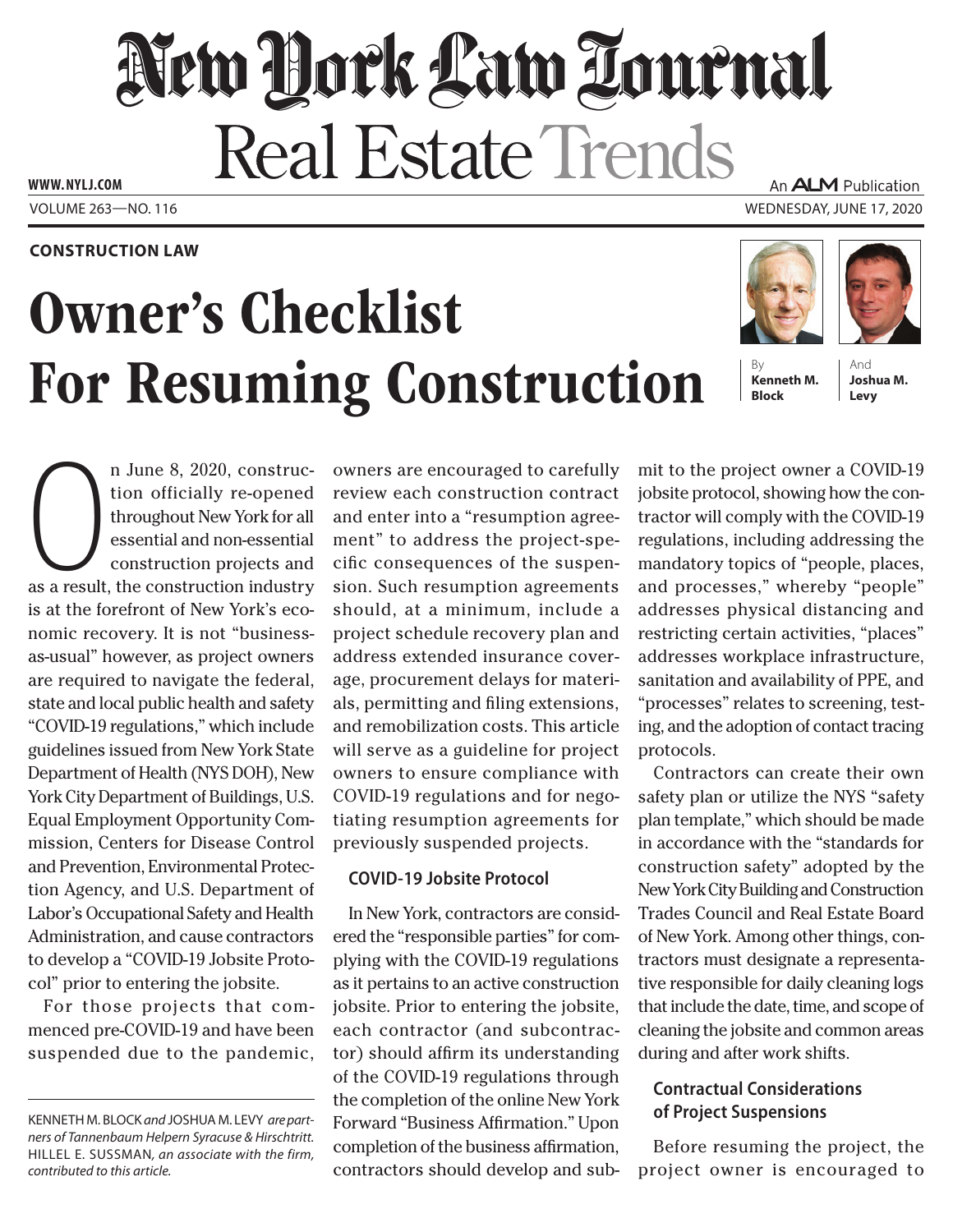## New Dock Law Tournal Real Estate Trends **www. NYLJ.com** An ALM Publication

Volume 263—NO. 116 Wednesday, June 17, 2020

#### **Construction Law**

# Owner's Checklist For Resuming Construction





**Kenneth M. Block**

And **Joshua M. Levy**

n June 8, 2020, construction officially re-opened<br>throughout New York for all<br>essential and non-essential<br>as a result, the construction industry n June 8, 2020, construction officially re-opened throughout New York for all essential and non-essential construction projects and is at the forefront of New York's economic recovery. It is not "businessas-usual" however, as project owners are required to navigate the federal, state and local public health and safety "COVID-19 regulations," which include guidelines issued from New York State Department of Health (NYS DOH), New York City Department of Buildings, U.S. Equal Employment Opportunity Commission, Centers for Disease Control and Prevention, Environmental Protection Agency, and U.S. Department of Labor's Occupational Safety and Health Administration, and cause contractors to develop a "COVID-19 Jobsite Protocol" prior to entering the jobsite.

For those projects that commenced pre-COVID-19 and have been suspended due to the pandemic, owners are encouraged to carefully review each construction contract and enter into a "resumption agreement" to address the project-specific consequences of the suspension. Such resumption agreements should, at a minimum, include a project schedule recovery plan and address extended insurance coverage, procurement delays for materials, permitting and filing extensions, and remobilization costs. This article will serve as a guideline for project owners to ensure compliance with COVID-19 regulations and for negotiating resumption agreements for previously suspended projects.

#### **COVID-19 Jobsite Protocol**

In New York, contractors are considered the "responsible parties" for complying with the COVID-19 regulations as it pertains to an active construction jobsite. Prior to entering the jobsite, each contractor (and subcontractor) should affirm its understanding of the COVID-19 regulations through the completion of the online New York Forward "Business Affirmation." Upon completion of the business affirmation, contractors should develop and sub-

mit to the project owner a COVID-19 jobsite protocol, showing how the contractor will comply with the COVID-19 regulations, including addressing the mandatory topics of "people, places, and processes," whereby "people" addresses physical distancing and restricting certain activities, "places" addresses workplace infrastructure, sanitation and availability of PPE, and "processes" relates to screening, testing, and the adoption of contact tracing protocols.

Contractors can create their own safety plan or utilize the NYS "safety plan template," which should be made in accordance with the "standards for construction safety" adopted by the New York City Building and Construction Trades Council and Real Estate Board of New York. Among other things, contractors must designate a representative responsible for daily cleaning logs that include the date, time, and scope of cleaning the jobsite and common areas during and after work shifts.

### **Contractual Considerations of Project Suspensions**

Before resuming the project, the project owner is encouraged to

Kenneth M. Block *and* Joshua M. Levy *are partners of Tannenbaum Helpern Syracuse & Hirschtritt.*  Hillel E. Sussman*, an associate with the firm, contributed to this article.*